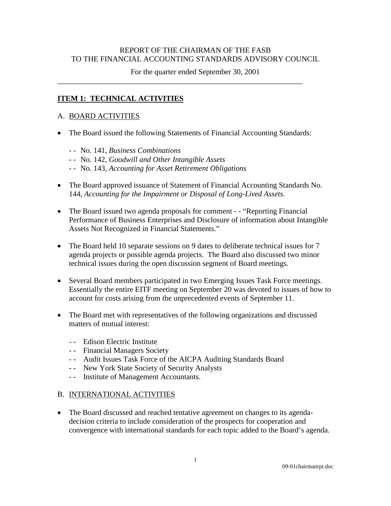## REPORT OF THE CHAIRMAN OF THE FASB TO THE FINANCIAL ACCOUNTING STANDARDS ADVISORY COUNCIL

For the quarter ended September 30, 2001

#### **ITEM 1: TECHNICAL ACTIVITIES**

#### A. BOARD ACTIVITIES

• The Board issued the following Statements of Financial Accounting Standards:

\_\_\_\_\_\_\_\_\_\_\_\_\_\_\_\_\_\_\_\_\_\_\_\_\_\_\_\_\_\_\_\_\_\_\_\_\_\_\_\_\_\_\_\_\_\_\_\_\_\_\_\_\_\_\_\_\_\_\_\_\_\_\_\_

- - No. 141, *Business Combinations*
- - No. 142, *Goodwill and Other Intangible Assets*
- - No. 143, *Accounting for Asset Retirement Obligations*
- The Board approved issuance of Statement of Financial Accounting Standards No. 144, *Accounting for the Impairment or Disposal of Long-Lived Assets*.
- The Board issued two agenda proposals for comment - "Reporting Financial" Performance of Business Enterprises and Disclosure of information about Intangible Assets Not Recognized in Financial Statements."
- The Board held 10 separate sessions on 9 dates to deliberate technical issues for 7 agenda projects or possible agenda projects. The Board also discussed two minor technical issues during the open discussion segment of Board meetings.
- Several Board members participated in two Emerging Issues Task Force meetings. Essentially the entire EITF meeting on September 20 was devoted to issues of how to account for costs arising from the unprecedented events of September 11.
- The Board met with representatives of the following organizations and discussed matters of mutual interest:
	- - Edison Electric Institute
	- - Financial Managers Society
	- - Audit Issues Task Force of the AICPA Auditing Standards Board
	- - New York State Society of Security Analysts
	- - Institute of Management Accountants.

## B. INTERNATIONAL ACTIVITIES

• The Board discussed and reached tentative agreement on changes to its agendadecision criteria to include consideration of the prospects for cooperation and convergence with international standards for each topic added to the Board's agenda.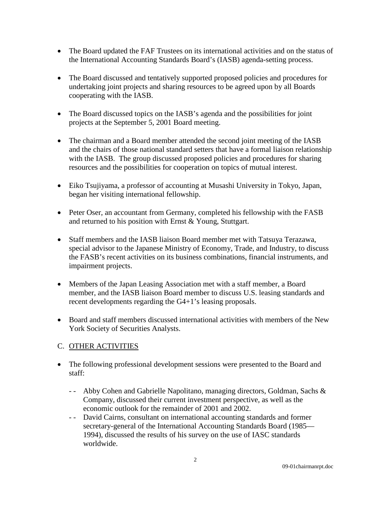- The Board updated the FAF Trustees on its international activities and on the status of the International Accounting Standards Board's (IASB) agenda-setting process.
- The Board discussed and tentatively supported proposed policies and procedures for undertaking joint projects and sharing resources to be agreed upon by all Boards cooperating with the IASB.
- The Board discussed topics on the IASB's agenda and the possibilities for joint projects at the September 5, 2001 Board meeting.
- The chairman and a Board member attended the second joint meeting of the IASB and the chairs of those national standard setters that have a formal liaison relationship with the IASB. The group discussed proposed policies and procedures for sharing resources and the possibilities for cooperation on topics of mutual interest.
- Eiko Tsujiyama, a professor of accounting at Musashi University in Tokyo, Japan, began her visiting international fellowship.
- Peter Oser, an accountant from Germany, completed his fellowship with the FASB and returned to his position with Ernst & Young, Stuttgart.
- Staff members and the IASB liaison Board member met with Tatsuya Terazawa, special advisor to the Japanese Ministry of Economy, Trade, and Industry, to discuss the FASB's recent activities on its business combinations, financial instruments, and impairment projects.
- Members of the Japan Leasing Association met with a staff member, a Board member, and the IASB liaison Board member to discuss U.S. leasing standards and recent developments regarding the G4+1's leasing proposals.
- Board and staff members discussed international activities with members of the New York Society of Securities Analysts.

# C. OTHER ACTIVITIES

- The following professional development sessions were presented to the Board and staff:
	- - Abby Cohen and Gabrielle Napolitano, managing directors, Goldman, Sachs & Company, discussed their current investment perspective, as well as the economic outlook for the remainder of 2001 and 2002.
	- - David Cairns, consultant on international accounting standards and former secretary-general of the International Accounting Standards Board (1985— 1994), discussed the results of his survey on the use of IASC standards worldwide.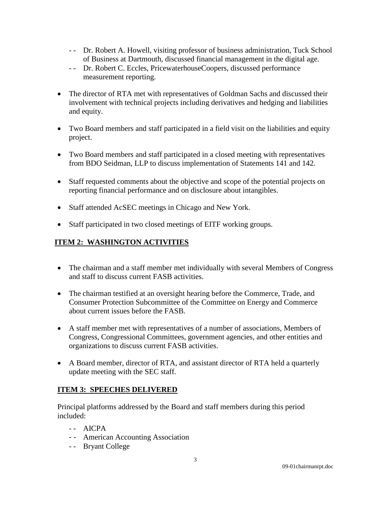- - Dr. Robert A. Howell, visiting professor of business administration, Tuck School of Business at Dartmouth, discussed financial management in the digital age.
- - Dr. Robert C. Eccles, PricewaterhouseCoopers, discussed performance measurement reporting.
- The director of RTA met with representatives of Goldman Sachs and discussed their involvement with technical projects including derivatives and hedging and liabilities and equity.
- Two Board members and staff participated in a field visit on the liabilities and equity project.
- Two Board members and staff participated in a closed meeting with representatives from BDO Seidman, LLP to discuss implementation of Statements 141 and 142.
- Staff requested comments about the objective and scope of the potential projects on reporting financial performance and on disclosure about intangibles.
- Staff attended AcSEC meetings in Chicago and New York.
- Staff participated in two closed meetings of EITF working groups.

## **ITEM 2: WASHINGTON ACTIVITIES**

- The chairman and a staff member met individually with several Members of Congress and staff to discuss current FASB activities.
- The chairman testified at an oversight hearing before the Commerce, Trade, and Consumer Protection Subcommittee of the Committee on Energy and Commerce about current issues before the FASB.
- A staff member met with representatives of a number of associations, Members of Congress, Congressional Committees, government agencies, and other entities and organizations to discuss current FASB activities.
- A Board member, director of RTA, and assistant director of RTA held a quarterly update meeting with the SEC staff.

## **ITEM 3: SPEECHES DELIVERED**

Principal platforms addressed by the Board and staff members during this period included:

- $-$  AICPA
- - American Accounting Association
- -- Bryant College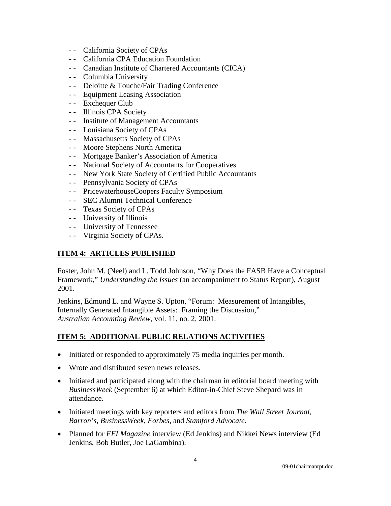- - California Society of CPAs
- - California CPA Education Foundation
- - Canadian Institute of Chartered Accountants (CICA)
- - Columbia University
- - Deloitte & Touche/Fair Trading Conference
- - Equipment Leasing Association
- -- Exchequer Club
- -- Illinois CPA Society
- - Institute of Management Accountants
- - Louisiana Society of CPAs
- -- Massachusetts Society of CPAs
- - Moore Stephens North America
- - Mortgage Banker's Association of America
- - National Society of Accountants for Cooperatives
- - New York State Society of Certified Public Accountants
- - Pennsylvania Society of CPAs
- - PricewaterhouseCoopers Faculty Symposium
- - SEC Alumni Technical Conference
- - Texas Society of CPAs
- -- University of Illinois
- - University of Tennessee
- - Virginia Society of CPAs.

## **ITEM 4: ARTICLES PUBLISHED**

Foster, John M. (Neel) and L. Todd Johnson, "Why Does the FASB Have a Conceptual Framework," *Understanding the Issues* (an accompaniment to Status Report), August 2001.

Jenkins, Edmund L. and Wayne S. Upton, "Forum: Measurement of Intangibles, Internally Generated Intangible Assets: Framing the Discussion," *Australian Accounting Review*, vol. 11, no. 2, 2001.

# **ITEM 5: ADDITIONAL PUBLIC RELATIONS ACTIVITIES**

- Initiated or responded to approximately 75 media inquiries per month.
- Wrote and distributed seven news releases.
- Initiated and participated along with the chairman in editorial board meeting with *BusinessWeek* (September 6) at which Editor-in-Chief Steve Shepard was in attendance.
- Initiated meetings with key reporters and editors from *The Wall Street Journal*, *Barron's*, *BusinessWeek*, *Forbes,* and *Stamford Advocate.*
- Planned for *FEI Magazine* interview (Ed Jenkins) and Nikkei News interview (Ed Jenkins, Bob Butler, Joe LaGambina).